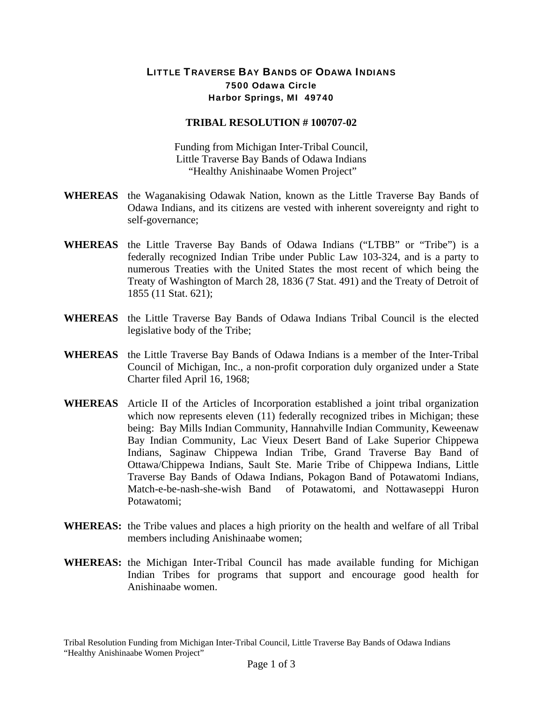## LITTLE TRAVERSE BAY BANDS OF ODAWA INDIANS 7500 Odawa Circle Harbor Springs, MI 49740

## **TRIBAL RESOLUTION # 100707-02**

Funding from Michigan Inter-Tribal Council, Little Traverse Bay Bands of Odawa Indians "Healthy Anishinaabe Women Project"

- **WHEREAS** the Waganakising Odawak Nation, known as the Little Traverse Bay Bands of Odawa Indians, and its citizens are vested with inherent sovereignty and right to self-governance;
- **WHEREAS** the Little Traverse Bay Bands of Odawa Indians ("LTBB" or "Tribe") is a federally recognized Indian Tribe under Public Law 103-324, and is a party to numerous Treaties with the United States the most recent of which being the Treaty of Washington of March 28, 1836 (7 Stat. 491) and the Treaty of Detroit of 1855 (11 Stat. 621);
- **WHEREAS** the Little Traverse Bay Bands of Odawa Indians Tribal Council is the elected legislative body of the Tribe;
- **WHEREAS** the Little Traverse Bay Bands of Odawa Indians is a member of the Inter-Tribal Council of Michigan, Inc., a non-profit corporation duly organized under a State Charter filed April 16, 1968;
- **WHEREAS** Article II of the Articles of Incorporation established a joint tribal organization which now represents eleven (11) federally recognized tribes in Michigan; these being: Bay Mills Indian Community, Hannahville Indian Community, Keweenaw Bay Indian Community, Lac Vieux Desert Band of Lake Superior Chippewa Indians, Saginaw Chippewa Indian Tribe, Grand Traverse Bay Band of Ottawa/Chippewa Indians, Sault Ste. Marie Tribe of Chippewa Indians, Little Traverse Bay Bands of Odawa Indians, Pokagon Band of Potawatomi Indians, Match-e-be-nash-she-wish Band of Potawatomi, and Nottawaseppi Huron Potawatomi;
- **WHEREAS:** the Tribe values and places a high priority on the health and welfare of all Tribal members including Anishinaabe women;
- **WHEREAS:** the Michigan Inter-Tribal Council has made available funding for Michigan Indian Tribes for programs that support and encourage good health for Anishinaabe women.

Tribal Resolution Funding from Michigan Inter-Tribal Council, Little Traverse Bay Bands of Odawa Indians "Healthy Anishinaabe Women Project"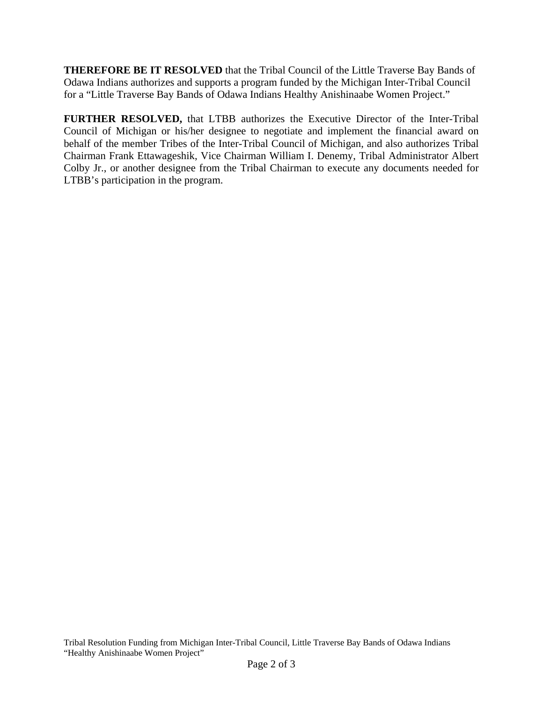**THEREFORE BE IT RESOLVED** that the Tribal Council of the Little Traverse Bay Bands of Odawa Indians authorizes and supports a program funded by the Michigan Inter-Tribal Council for a "Little Traverse Bay Bands of Odawa Indians Healthy Anishinaabe Women Project."

**FURTHER RESOLVED,** that LTBB authorizes the Executive Director of the Inter-Tribal Council of Michigan or his/her designee to negotiate and implement the financial award on behalf of the member Tribes of the Inter-Tribal Council of Michigan, and also authorizes Tribal Chairman Frank Ettawageshik, Vice Chairman William I. Denemy, Tribal Administrator Albert Colby Jr., or another designee from the Tribal Chairman to execute any documents needed for LTBB's participation in the program.